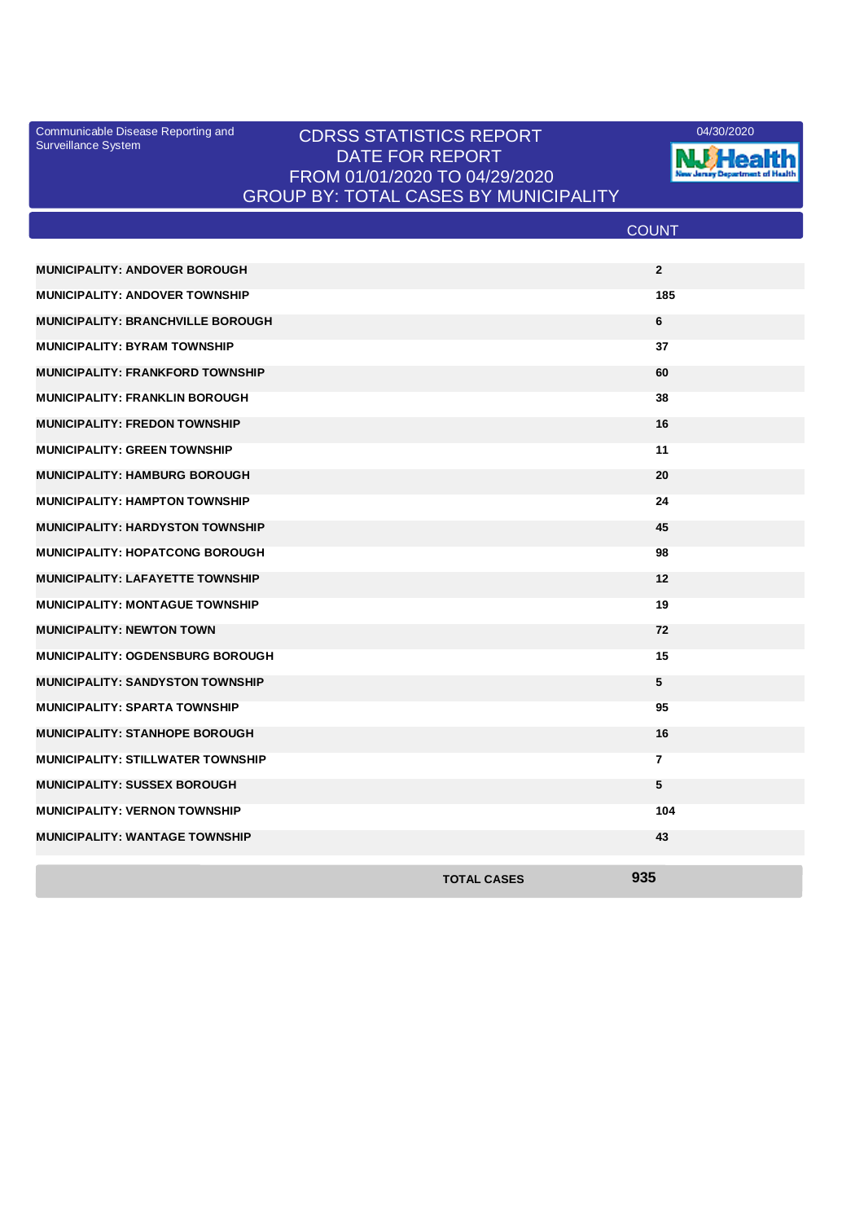Communicable Disease Reporting and<br>Surveillance System

## Communicable Disease Reporting and CDRSS STATISTICS REPORT 2001/30/2020<br>Surveillance System DATE FOR REPORT FROM 01/01/2020 TO 04/29/2020 GROUP BY: TOTAL CASES BY MUNICIPALITY

**N.J. Health** 

|                                          |                    | <b>COUNT</b>   |  |
|------------------------------------------|--------------------|----------------|--|
|                                          |                    |                |  |
| <b>MUNICIPALITY: ANDOVER BOROUGH</b>     |                    | $\mathbf{2}$   |  |
| <b>MUNICIPALITY: ANDOVER TOWNSHIP</b>    |                    | 185            |  |
| <b>MUNICIPALITY: BRANCHVILLE BOROUGH</b> |                    | 6              |  |
| <b>MUNICIPALITY: BYRAM TOWNSHIP</b>      |                    | 37             |  |
| <b>MUNICIPALITY: FRANKFORD TOWNSHIP</b>  |                    | 60             |  |
| <b>MUNICIPALITY: FRANKLIN BOROUGH</b>    |                    | 38             |  |
| <b>MUNICIPALITY: FREDON TOWNSHIP</b>     |                    | 16             |  |
| <b>MUNICIPALITY: GREEN TOWNSHIP</b>      |                    | 11             |  |
| <b>MUNICIPALITY: HAMBURG BOROUGH</b>     |                    | 20             |  |
| <b>MUNICIPALITY: HAMPTON TOWNSHIP</b>    |                    | 24             |  |
| <b>MUNICIPALITY: HARDYSTON TOWNSHIP</b>  |                    | 45             |  |
| <b>MUNICIPALITY: HOPATCONG BOROUGH</b>   |                    | 98             |  |
| <b>MUNICIPALITY: LAFAYETTE TOWNSHIP</b>  |                    | 12             |  |
| <b>MUNICIPALITY: MONTAGUE TOWNSHIP</b>   |                    | 19             |  |
| <b>MUNICIPALITY: NEWTON TOWN</b>         |                    | 72             |  |
| <b>MUNICIPALITY: OGDENSBURG BOROUGH</b>  |                    | 15             |  |
| <b>MUNICIPALITY: SANDYSTON TOWNSHIP</b>  |                    | 5              |  |
| <b>MUNICIPALITY: SPARTA TOWNSHIP</b>     |                    | 95             |  |
| <b>MUNICIPALITY: STANHOPE BOROUGH</b>    |                    | 16             |  |
| <b>MUNICIPALITY: STILLWATER TOWNSHIP</b> |                    | $\overline{7}$ |  |
| <b>MUNICIPALITY: SUSSEX BOROUGH</b>      |                    | 5              |  |
| <b>MUNICIPALITY: VERNON TOWNSHIP</b>     |                    | 104            |  |
| <b>MUNICIPALITY: WANTAGE TOWNSHIP</b>    |                    | 43             |  |
|                                          | <b>TOTAL CASES</b> | 935            |  |